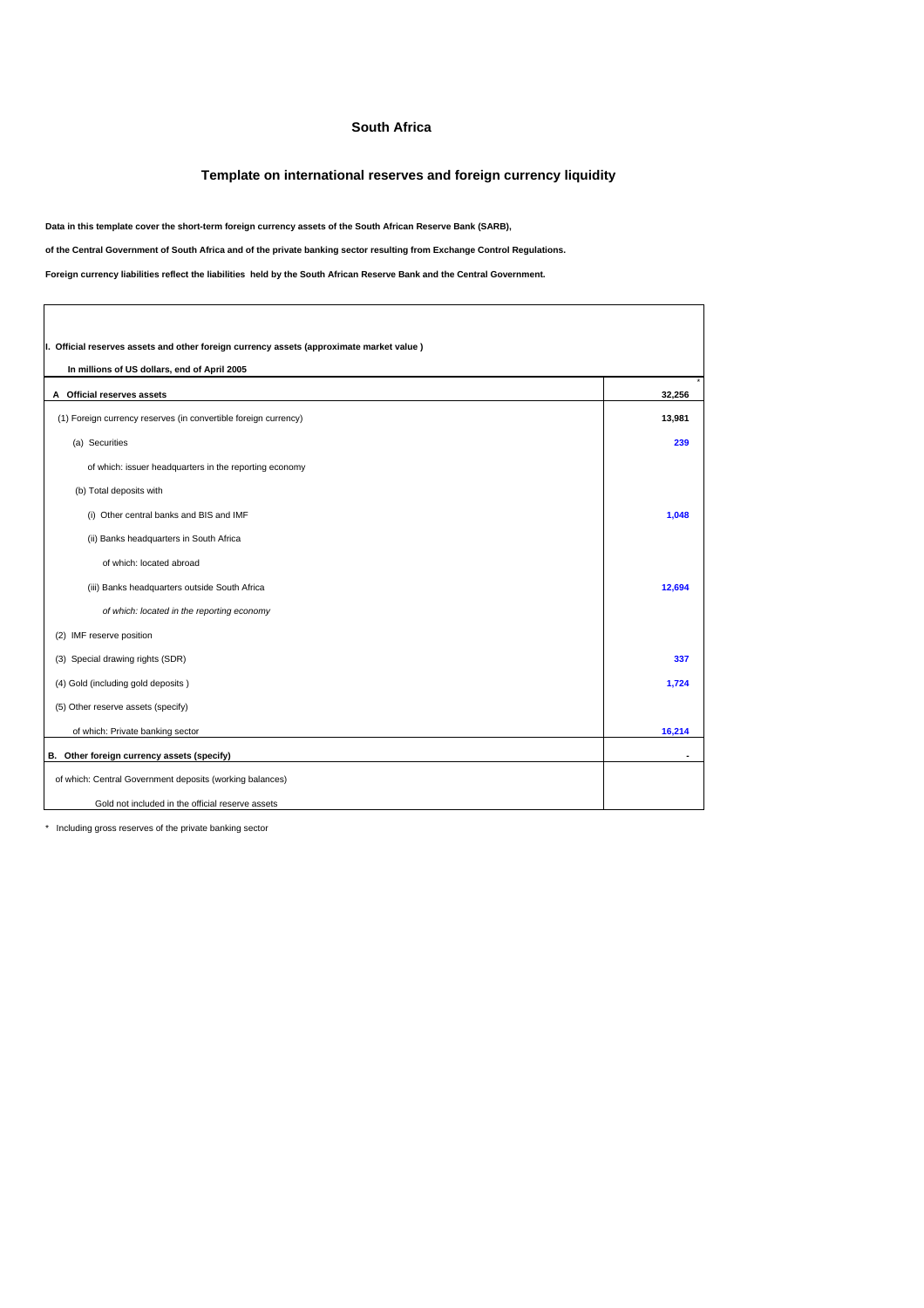## **South Africa**

## **Template on international reserves and foreign currency liquidity**

**Data in this template cover the short-term foreign currency assets of the South African Reserve Bank (SARB),** 

**of the Central Government of South Africa and of the private banking sector resulting from Exchange Control Regulations.**

**Foreign currency liabilities reflect the liabilities held by the South African Reserve Bank and the Central Government.**

| I. Official reserves assets and other foreign currency assets (approximate market value) |        |  |  |
|------------------------------------------------------------------------------------------|--------|--|--|
| In millions of US dollars, end of April 2005                                             |        |  |  |
| A Official reserves assets                                                               | 32.256 |  |  |
| (1) Foreign currency reserves (in convertible foreign currency)                          | 13,981 |  |  |
| (a) Securities                                                                           | 239    |  |  |
| of which: issuer headquarters in the reporting economy                                   |        |  |  |
| (b) Total deposits with                                                                  |        |  |  |
| (i) Other central banks and BIS and IMF                                                  | 1.048  |  |  |
| (ii) Banks headquarters in South Africa                                                  |        |  |  |
| of which: located abroad                                                                 |        |  |  |
| (iii) Banks headquarters outside South Africa                                            | 12,694 |  |  |
| of which: located in the reporting economy                                               |        |  |  |
| IMF reserve position<br>(2)                                                              |        |  |  |
| (3) Special drawing rights (SDR)                                                         | 337    |  |  |
| (4) Gold (including gold deposits)                                                       | 1,724  |  |  |
| (5) Other reserve assets (specify)                                                       |        |  |  |
| of which: Private banking sector                                                         | 16,214 |  |  |
| B. Other foreign currency assets (specify)                                               |        |  |  |
| of which: Central Government deposits (working balances)                                 |        |  |  |
| Gold not included in the official reserve assets                                         |        |  |  |

\* Including gross reserves of the private banking sector

 $\Gamma$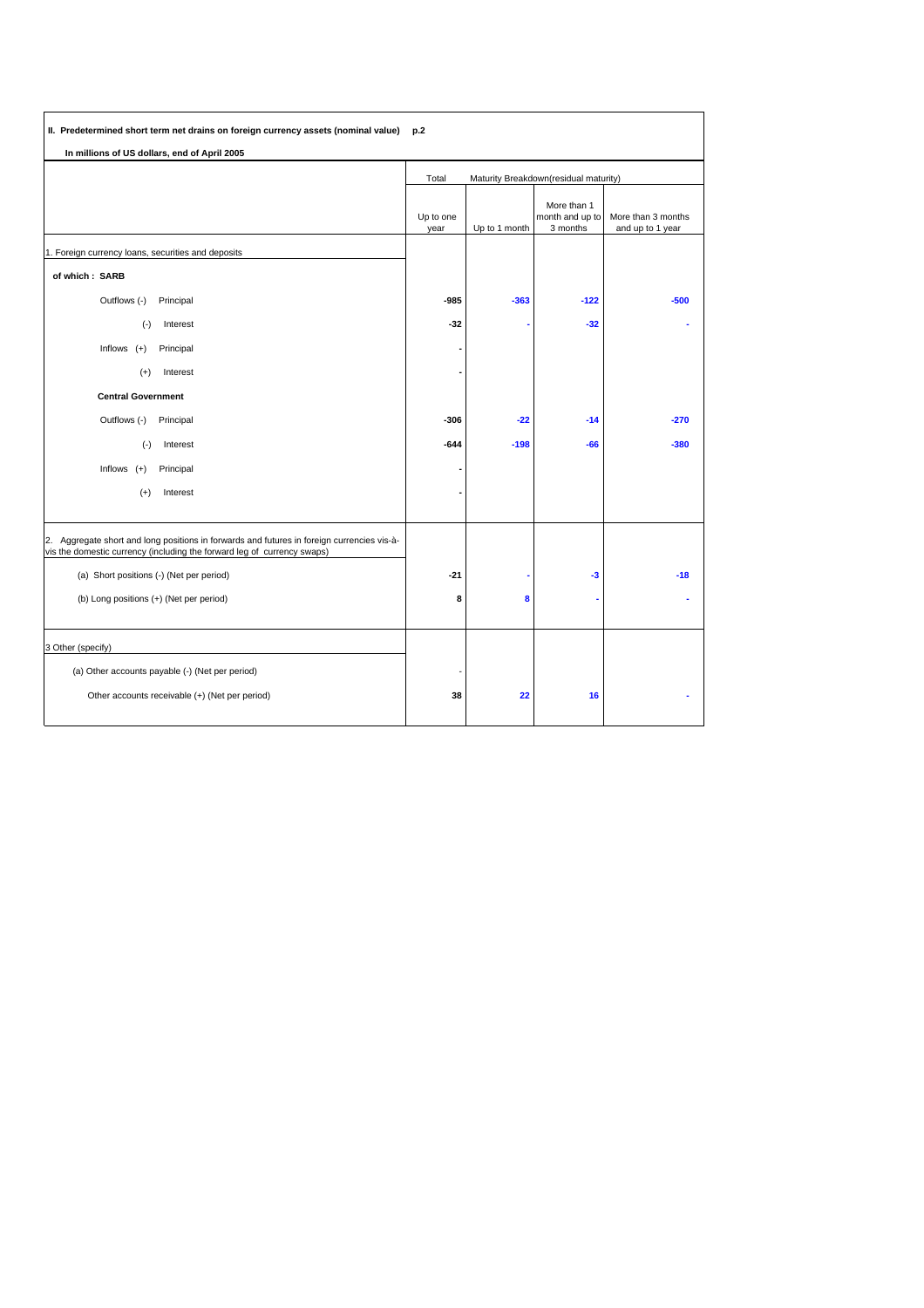| II. Predetermined short term net drains on foreign currency assets (nominal value)                                                                                    | p.2                                            |               |                                            |                                        |
|-----------------------------------------------------------------------------------------------------------------------------------------------------------------------|------------------------------------------------|---------------|--------------------------------------------|----------------------------------------|
| In millions of US dollars, end of April 2005                                                                                                                          |                                                |               |                                            |                                        |
|                                                                                                                                                                       | Total<br>Maturity Breakdown(residual maturity) |               |                                            |                                        |
|                                                                                                                                                                       | Up to one<br>year                              | Up to 1 month | More than 1<br>month and up to<br>3 months | More than 3 months<br>and up to 1 year |
| 1. Foreign currency loans, securities and deposits                                                                                                                    |                                                |               |                                            |                                        |
| of which: SARB                                                                                                                                                        |                                                |               |                                            |                                        |
| Outflows (-)<br>Principal                                                                                                                                             | $-985$                                         | $-363$        | $-122$                                     | $-500$                                 |
| Interest<br>$(\cdot)$                                                                                                                                                 | $-32$                                          |               | $-32$                                      |                                        |
| Inflows $(+)$<br>Principal                                                                                                                                            |                                                |               |                                            |                                        |
| Interest<br>$(+)$                                                                                                                                                     |                                                |               |                                            |                                        |
| <b>Central Government</b>                                                                                                                                             |                                                |               |                                            |                                        |
| Outflows (-)<br>Principal                                                                                                                                             | -306                                           | $-22$         | $-14$                                      | $-270$                                 |
| $(\cdot)$<br>Interest                                                                                                                                                 | $-644$                                         | $-198$        | -66                                        | $-380$                                 |
| Inflows<br>Principal<br>$(+)$                                                                                                                                         |                                                |               |                                            |                                        |
| $(+)$<br>Interest                                                                                                                                                     |                                                |               |                                            |                                        |
| 2. Aggregate short and long positions in forwards and futures in foreign currencies vis-à-<br>vis the domestic currency (including the forward leg of currency swaps) |                                                |               |                                            |                                        |
| (a) Short positions (-) (Net per period)                                                                                                                              | $-21$                                          |               | $-3$                                       | $-18$                                  |
| (b) Long positions (+) (Net per period)                                                                                                                               | 8                                              | 8             |                                            |                                        |
| 3 Other (specify)                                                                                                                                                     |                                                |               |                                            |                                        |
| (a) Other accounts payable (-) (Net per period)                                                                                                                       |                                                |               |                                            |                                        |
| Other accounts receivable (+) (Net per period)                                                                                                                        | 38                                             | 22            | 16                                         |                                        |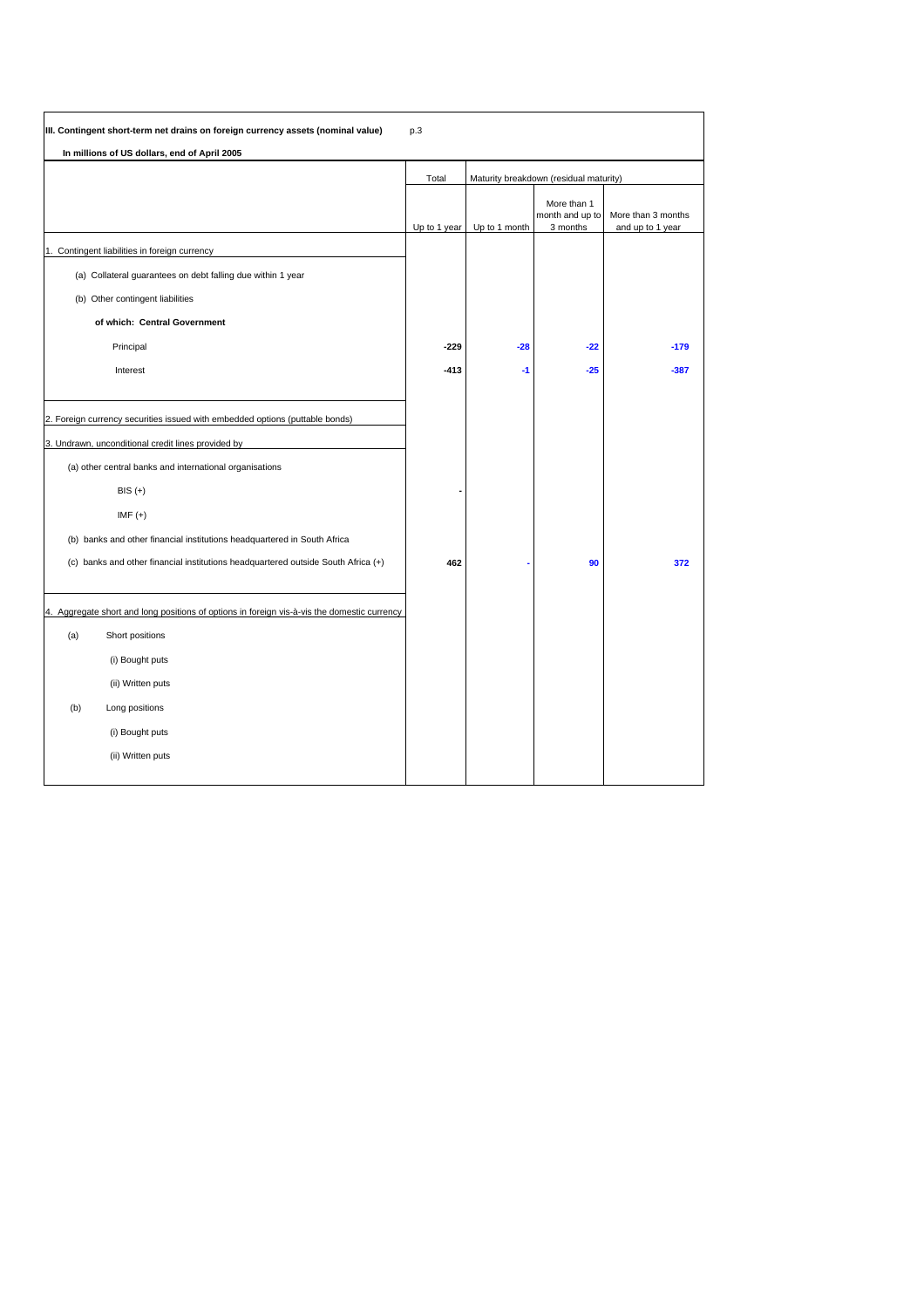|     | III. Contingent short-term net drains on foreign currency assets (nominal value)            | p.3          |                                        |                                            |                                        |
|-----|---------------------------------------------------------------------------------------------|--------------|----------------------------------------|--------------------------------------------|----------------------------------------|
|     | In millions of US dollars, end of April 2005                                                |              |                                        |                                            |                                        |
|     |                                                                                             | Total        | Maturity breakdown (residual maturity) |                                            |                                        |
|     |                                                                                             | Up to 1 year | Up to 1 month                          | More than 1<br>month and up to<br>3 months | More than 3 months<br>and up to 1 year |
|     | 1. Contingent liabilities in foreign currency                                               |              |                                        |                                            |                                        |
|     | (a) Collateral guarantees on debt falling due within 1 year                                 |              |                                        |                                            |                                        |
|     | (b) Other contingent liabilities                                                            |              |                                        |                                            |                                        |
|     | of which: Central Government                                                                |              |                                        |                                            |                                        |
|     | Principal                                                                                   | $-229$       | $-28$                                  | $-22$                                      | $-179$                                 |
|     | Interest                                                                                    | $-413$       | -1                                     | $-25$                                      | $-387$                                 |
|     |                                                                                             |              |                                        |                                            |                                        |
|     | 2. Foreign currency securities issued with embedded options (puttable bonds)                |              |                                        |                                            |                                        |
|     | 3. Undrawn, unconditional credit lines provided by                                          |              |                                        |                                            |                                        |
|     | (a) other central banks and international organisations                                     |              |                                        |                                            |                                        |
|     | $BIS (+)$                                                                                   |              |                                        |                                            |                                        |
|     | $IMF (+)$                                                                                   |              |                                        |                                            |                                        |
|     | (b) banks and other financial institutions headquartered in South Africa                    |              |                                        |                                            |                                        |
|     | (c) banks and other financial institutions headquartered outside South Africa (+)           | 462          |                                        | 90                                         | 372                                    |
|     |                                                                                             |              |                                        |                                            |                                        |
|     | 4. Aggregate short and long positions of options in foreign vis-à-vis the domestic currency |              |                                        |                                            |                                        |
| (a) | Short positions                                                                             |              |                                        |                                            |                                        |
|     | (i) Bought puts                                                                             |              |                                        |                                            |                                        |
|     | (ii) Written puts                                                                           |              |                                        |                                            |                                        |
| (b) | Long positions                                                                              |              |                                        |                                            |                                        |
|     | (i) Bought puts                                                                             |              |                                        |                                            |                                        |
|     | (ii) Written puts                                                                           |              |                                        |                                            |                                        |
|     |                                                                                             |              |                                        |                                            |                                        |